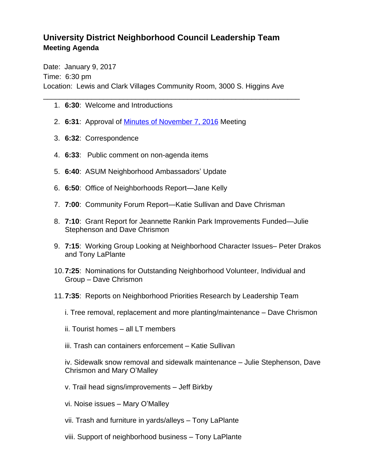## **University District Neighborhood Council Leadership Team Meeting Agenda**

Date: January 9, 2017 Time: 6:30 pm Location: Lewis and Clark Villages Community Room, 3000 S. Higgins Ave

\_\_\_\_\_\_\_\_\_\_\_\_\_\_\_\_\_\_\_\_\_\_\_\_\_\_\_\_\_\_\_\_\_\_\_\_\_\_\_\_\_\_\_\_\_\_\_\_\_\_\_\_\_\_\_\_\_\_\_\_\_\_\_\_

- 1. **6:30**: Welcome and Introductions
- 2. **6:31**: Approval of [Minutes of November 7, 2016](http://www.ci.missoula.mt.us/ArchiveCenter/ViewFile/Item/10893) Meeting
- 3. **6:32**: Correspondence
- 4. **6:33**: Public comment on non-agenda items
- 5. **6:40**: ASUM Neighborhood Ambassadors' Update
- 6. **6:50**: Office of Neighborhoods Report—Jane Kelly
- 7. **7:00**: Community Forum Report—Katie Sullivan and Dave Chrisman
- 8. **7:10**: Grant Report for Jeannette Rankin Park Improvements Funded—Julie Stephenson and Dave Chrismon
- 9. **7:15**: Working Group Looking at Neighborhood Character Issues– Peter Drakos and Tony LaPlante
- 10.**7:25**: Nominations for Outstanding Neighborhood Volunteer, Individual and Group – Dave Chrismon
- 11.**7:35**: Reports on Neighborhood Priorities Research by Leadership Team
	- i. Tree removal, replacement and more planting/maintenance Dave Chrismon
	- ii. Tourist homes all LT members
	- iii. Trash can containers enforcement Katie Sullivan

iv. Sidewalk snow removal and sidewalk maintenance – Julie Stephenson, Dave Chrismon and Mary O'Malley

- v. Trail head signs/improvements Jeff Birkby
- vi. Noise issues Mary O'Malley
- vii. Trash and furniture in yards/alleys Tony LaPlante
- viii. Support of neighborhood business Tony LaPlante